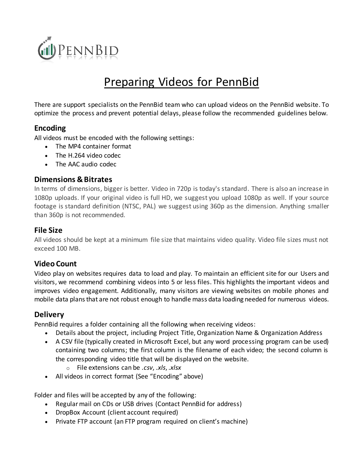

# Preparing Videos for PennBid

There are support specialists on the PennBid team who can upload videos on the PennBid website. To optimize the process and prevent potential delays, please follow the recommended guidelines below.

#### **Encoding**

All videos must be encoded with the following settings:

- The MP4 container format
- The H.264 video codec
- The AAC audio codec

#### **Dimensions & Bitrates**

In terms of dimensions, bigger is better. Video in 720p is today's standard. There is also an increase in 1080p uploads. If your original video is full HD, we suggest you upload 1080p as well. If your source footage is standard definition (NTSC, PAL) we suggest using 360p as the dimension. Anything smaller than 360p is not recommended.

## **File Size**

All videos should be kept at a minimum file size that maintains video quality. Video file sizes must not exceed 100 MB.

## **Video Count**

Video play on websites requires data to load and play. To maintain an efficient site for our Users and visitors, we recommend combining videos into 5 or less files. This highlights the important videos and improves video engagement. Additionally, many visitors are viewing websites on mobile phones and mobile data plans that are not robust enough to handle mass data loading needed for numerous videos.

## **Delivery**

PennBid requires a folder containing all the following when receiving videos:

- Details about the project, including Project Title, Organization Name & Organization Address
- A CSV file (typically created in Microsoft Excel, but any word processing program can be used) containing two columns; the first column is the filename of each video; the second column is the corresponding video title that will be displayed on the website.
	- o File extensions can be *.csv*, *.xls*, *.xlsx*
- All videos in correct format (See "Encoding" above)

Folder and files will be accepted by any of the following:

- Regular mail on CDs or USB drives (Contact PennBid for address)
- DropBox Account (client account required)
- Private FTP account (an FTP program required on client's machine)